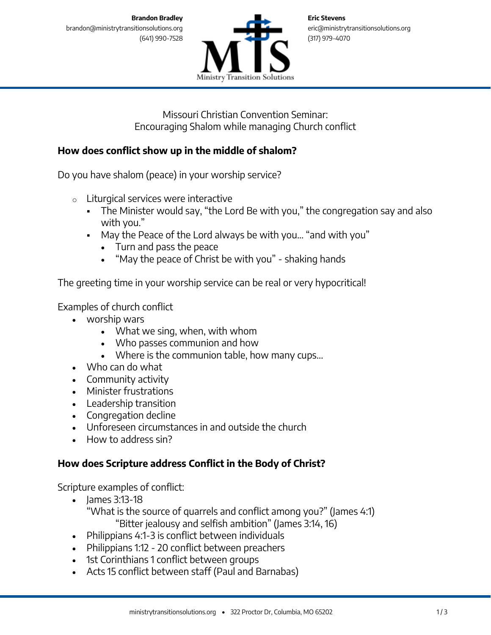

Missouri Christian Convention Seminar: Encouraging Shalom while managing Church conflict

# **How does conflict show up in the middle of shalom?**

Do you have shalom (peace) in your worship service?

- o Liturgical services were interactive
	- The Minister would say, "the Lord Be with you," the congregation say and also with you."
	- May the Peace of the Lord always be with you… "and with you"
		- Turn and pass the peace
		- "May the peace of Christ be with you" shaking hands

The greeting time in your worship service can be real or very hypocritical!

Examples of church conflict

- worship wars
	- What we sing, when, with whom
	- Who passes communion and how
	- Where is the communion table, how many cups...
- Who can do what
- Community activity
- Minister frustrations
- Leadership transition
- Congregation decline
- Unforeseen circumstances in and outside the church
- How to address sin?

## **How does Scripture address Conflict in the Body of Christ?**

Scripture examples of conflict:

- James 3:13-18 "What is the source of quarrels and conflict among you?" (James 4:1) "Bitter jealousy and selfish ambition" (James 3:14, 16)
- Philippians 4:1-3 is conflict between individuals
- Philippians 1:12 20 conflict between preachers
- 1st Corinthians 1 conflict between groups
- Acts 15 conflict between staff (Paul and Barnabas)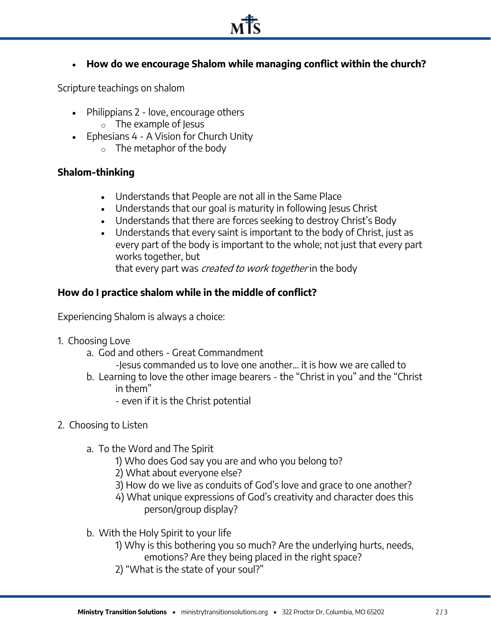

**How do we encourage Shalom while managing conflict within the church?**

Scripture teachings on shalom

- Philippians 2 love, encourage others
	- o The example of Jesus
- Ephesians 4 A Vision for Church Unity
	- o The metaphor of the body

### **Shalom-thinking**

- Understands that People are not all in the Same Place
- Understands that our goal is maturity in following Jesus Christ
- Understands that there are forces seeking to destroy Christ's Body
- Understands that every saint is important to the body of Christ, just as every part of the body is important to the whole; not just that every part works together, but

that every part was *created to work together* in the body

## **How do I practice shalom while in the middle of conflict?**

Experiencing Shalom is always a choice:

- 1. Choosing Love
	- a. God and others Great Commandment
		- -Jesus commanded us to love one another… it is how we are called to
	- b. Learning to love the other image bearers the "Christ in you" and the "Christ in them"
		- even if it is the Christ potential
- 2. Choosing to Listen
	- a. To the Word and The Spirit
		- 1) Who does God say you are and who you belong to?
		- 2) What about everyone else?
		- 3) How do we live as conduits of God's love and grace to one another?
		- 4) What unique expressions of God's creativity and character does this person/group display?
	- b. With the Holy Spirit to your life
		- 1) Why is this bothering you so much? Are the underlying hurts, needs, emotions? Are they being placed in the right space?
		- 2) "What is the state of your soul?"